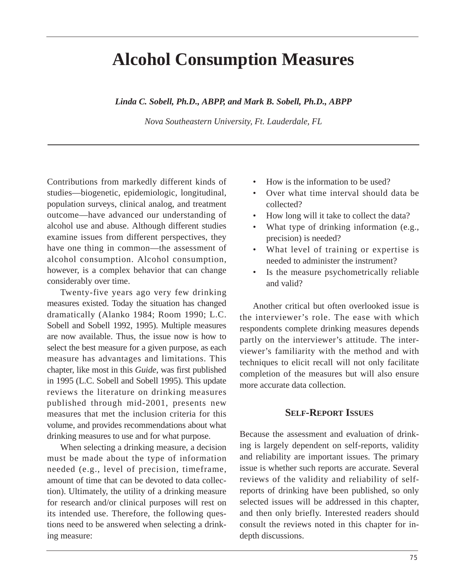# **Alcohol Consumption Measures**

*Linda C. Sobell, Ph.D., ABPP, and Mark B. Sobell, Ph.D., ABPP* 

*Nova Southeastern University, Ft. Lauderdale, FL* 

Contributions from markedly different kinds of studies—biogenetic, epidemiologic, longitudinal, population surveys, clinical analog, and treatment outcome—have advanced our understanding of alcohol use and abuse. Although different studies examine issues from different perspectives, they have one thing in common—the assessment of alcohol consumption. Alcohol consumption, however, is a complex behavior that can change considerably over time.

Twenty-five years ago very few drinking measures existed. Today the situation has changed dramatically (Alanko 1984; Room 1990; L.C. Sobell and Sobell 1992, 1995). Multiple measures are now available. Thus, the issue now is how to select the best measure for a given purpose, as each measure has advantages and limitations. This chapter, like most in this *Guide*, was first published in 1995 (L.C. Sobell and Sobell 1995). This update reviews the literature on drinking measures published through mid-2001, presents new measures that met the inclusion criteria for this volume, and provides recommendations about what drinking measures to use and for what purpose.

When selecting a drinking measure, a decision must be made about the type of information needed (e.g., level of precision, timeframe, amount of time that can be devoted to data collection). Ultimately, the utility of a drinking measure for research and/or clinical purposes will rest on its intended use. Therefore, the following questions need to be answered when selecting a drinking measure:

- How is the information to be used?
- Over what time interval should data be collected?
- How long will it take to collect the data?
- What type of drinking information (e.g., precision) is needed?
- What level of training or expertise is needed to administer the instrument?
- Is the measure psychometrically reliable and valid?

Another critical but often overlooked issue is the interviewer's role. The ease with which respondents complete drinking measures depends partly on the interviewer's attitude. The interviewer's familiarity with the method and with techniques to elicit recall will not only facilitate completion of the measures but will also ensure more accurate data collection.

#### **SELF-REPORT ISSUES**

Because the assessment and evaluation of drinking is largely dependent on self-reports, validity and reliability are important issues. The primary issue is whether such reports are accurate. Several reviews of the validity and reliability of selfreports of drinking have been published, so only selected issues will be addressed in this chapter, and then only briefly. Interested readers should consult the reviews noted in this chapter for indepth discussions.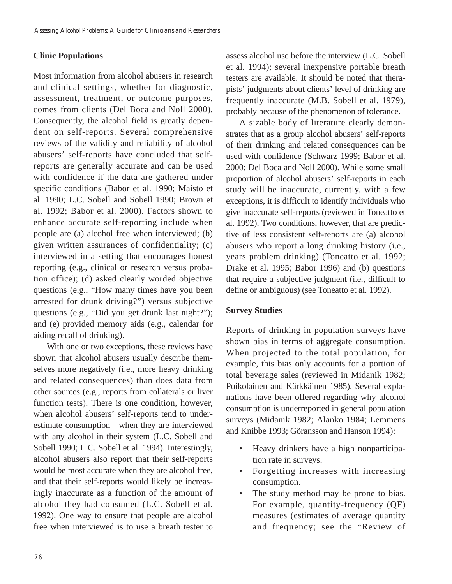## **Clinic Populations**

Most information from alcohol abusers in research and clinical settings, whether for diagnostic, assessment, treatment, or outcome purposes, comes from clients (Del Boca and Noll 2000). Consequently, the alcohol field is greatly dependent on self-reports. Several comprehensive reviews of the validity and reliability of alcohol abusers' self-reports have concluded that selfreports are generally accurate and can be used with confidence if the data are gathered under specific conditions (Babor et al. 1990; Maisto et al. 1990; L.C. Sobell and Sobell 1990; Brown et al. 1992; Babor et al. 2000). Factors shown to enhance accurate self-reporting include when people are (a) alcohol free when interviewed; (b) given written assurances of confidentiality; (c) interviewed in a setting that encourages honest reporting (e.g., clinical or research versus probation office); (d) asked clearly worded objective questions (e.g., "How many times have you been arrested for drunk driving?") versus subjective questions (e.g., "Did you get drunk last night?"); and (e) provided memory aids (e.g., calendar for aiding recall of drinking).

With one or two exceptions, these reviews have shown that alcohol abusers usually describe themselves more negatively (i.e., more heavy drinking and related consequences) than does data from other sources (e.g., reports from collaterals or liver function tests). There is one condition, however, when alcohol abusers' self-reports tend to underestimate consumption—when they are interviewed with any alcohol in their system (L.C. Sobell and Sobell 1990; L.C. Sobell et al. 1994). Interestingly, alcohol abusers also report that their self-reports would be most accurate when they are alcohol free, and that their self-reports would likely be increasingly inaccurate as a function of the amount of alcohol they had consumed (L.C. Sobell et al. 1992). One way to ensure that people are alcohol free when interviewed is to use a breath tester to

assess alcohol use before the interview (L.C. Sobell et al. 1994); several inexpensive portable breath testers are available. It should be noted that therapists' judgments about clients' level of drinking are frequently inaccurate (M.B. Sobell et al. 1979), probably because of the phenomenon of tolerance.

A sizable body of literature clearly demonstrates that as a group alcohol abusers' self-reports of their drinking and related consequences can be used with confidence (Schwarz 1999; Babor et al. 2000; Del Boca and Noll 2000). While some small proportion of alcohol abusers' self-reports in each study will be inaccurate, currently, with a few exceptions, it is difficult to identify individuals who give inaccurate self-reports (reviewed in Toneatto et al. 1992). Two conditions, however, that are predictive of less consistent self-reports are (a) alcohol abusers who report a long drinking history (i.e., years problem drinking) (Toneatto et al. 1992; Drake et al. 1995; Babor 1996) and (b) questions that require a subjective judgment (i.e., difficult to define or ambiguous) (see Toneatto et al. 1992).

#### **Survey Studies**

Reports of drinking in population surveys have shown bias in terms of aggregate consumption. When projected to the total population, for example, this bias only accounts for a portion of total beverage sales (reviewed in Midanik 1982; Poikolainen and Kärkkäinen 1985). Several explanations have been offered regarding why alcohol consumption is underreported in general population surveys (Midanik 1982; Alanko 1984; Lemmens and Knibbe 1993; Göransson and Hanson 1994):

- • Heavy drinkers have a high nonparticipation rate in surveys.
- Forgetting increases with increasing consumption.
- The study method may be prone to bias. For example, quantity-frequency (QF) measures (estimates of average quantity and frequency; see the "Review of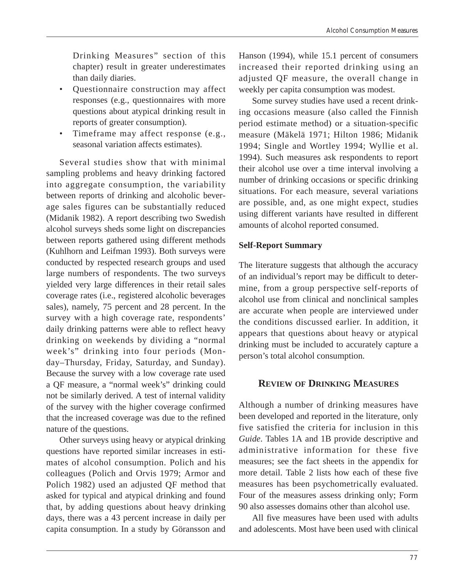Drinking Measures" section of this chapter) result in greater underestimates than daily diaries.

- Questionnaire construction may affect responses (e.g., questionnaires with more questions about atypical drinking result in reports of greater consumption).
- Timeframe may affect response (e.g., seasonal variation affects estimates).

Several studies show that with minimal sampling problems and heavy drinking factored into aggregate consumption, the variability between reports of drinking and alcoholic beverage sales figures can be substantially reduced (Midanik 1982). A report describing two Swedish alcohol surveys sheds some light on discrepancies between reports gathered using different methods (Kuhlhorn and Leifman 1993). Both surveys were conducted by respected research groups and used large numbers of respondents. The two surveys yielded very large differences in their retail sales coverage rates (i.e., registered alcoholic beverages sales), namely, 75 percent and 28 percent. In the survey with a high coverage rate, respondents' daily drinking patterns were able to reflect heavy drinking on weekends by dividing a "normal week's" drinking into four periods (Monday–Thursday, Friday, Saturday, and Sunday). Because the survey with a low coverage rate used a QF measure, a "normal week's" drinking could not be similarly derived. A test of internal validity of the survey with the higher coverage confirmed that the increased coverage was due to the refined nature of the questions.

Other surveys using heavy or atypical drinking questions have reported similar increases in estimates of alcohol consumption. Polich and his colleagues (Polich and Orvis 1979; Armor and Polich 1982) used an adjusted QF method that asked for typical and atypical drinking and found that, by adding questions about heavy drinking days, there was a 43 percent increase in daily per capita consumption. In a study by Göransson and

Hanson (1994), while 15.1 percent of consumers increased their reported drinking using an adjusted QF measure, the overall change in weekly per capita consumption was modest.

Some survey studies have used a recent drinking occasions measure (also called the Finnish period estimate method) or a situation-specific measure (Mäkelä 1971; Hilton 1986; Midanik 1994; Single and Wortley 1994; Wyllie et al. 1994). Such measures ask respondents to report their alcohol use over a time interval involving a number of drinking occasions or specific drinking situations. For each measure, several variations are possible, and, as one might expect, studies using different variants have resulted in different amounts of alcohol reported consumed.

### **Self-Report Summary**

The literature suggests that although the accuracy of an individual's report may be difficult to determine, from a group perspective self-reports of alcohol use from clinical and nonclinical samples are accurate when people are interviewed under the conditions discussed earlier. In addition, it appears that questions about heavy or atypical drinking must be included to accurately capture a person's total alcohol consumption.

# **REVIEW OF DRINKING MEASURES**

Although a number of drinking measures have been developed and reported in the literature, only five satisfied the criteria for inclusion in this *Guide*. Tables 1A and 1B provide descriptive and administrative information for these five measures; see the fact sheets in the appendix for more detail. Table 2 lists how each of these five measures has been psychometrically evaluated. Four of the measures assess drinking only; Form 90 also assesses domains other than alcohol use.

All five measures have been used with adults and adolescents. Most have been used with clinical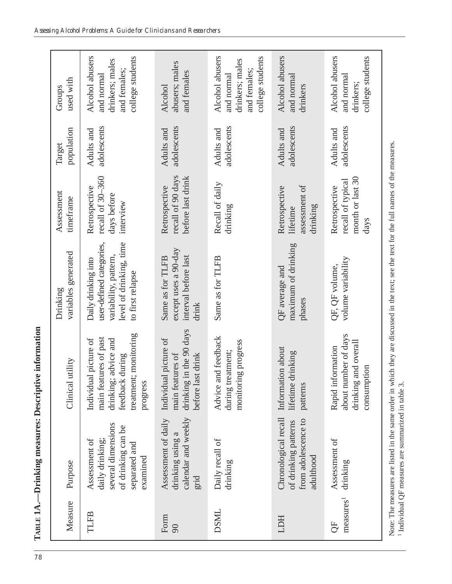| Measure                    | Purpose                                                                                                   | Clinical utility                                                                                                                  | variables generated<br>Drinking                                                                                         | Assessment<br>timeframe                                        | population<br>Target      | used with<br>Groups                                                                  |
|----------------------------|-----------------------------------------------------------------------------------------------------------|-----------------------------------------------------------------------------------------------------------------------------------|-------------------------------------------------------------------------------------------------------------------------|----------------------------------------------------------------|---------------------------|--------------------------------------------------------------------------------------|
| TLFB                       | several dimensions<br>of drinking can be<br>daily drinking;<br>Assessment of<br>separated and<br>examined | treatment; monitoring<br>main features of past<br>Individual picture of<br>advice and<br>feedback during<br>drinking;<br>progress | user-defined categories,<br>level of drinking, time<br>variability, pattern,<br>Daily drinking into<br>to first relapse | recall of 30-360<br>Retrospective<br>days before<br>interview  | adolescents<br>Adults and | Alcohol abusers<br>college students<br>drinkers; males<br>and females:<br>and normal |
| Form<br>90                 | calendar and weekly<br>Assessment of daily<br>drinking using a<br>grid                                    | drinking in the 90 days<br>Individual picture of<br>before last drink<br>main features of                                         | except uses a 90-day<br>interval before last<br>Same as for TLFB<br>drink                                               | recall of 90 days<br>before last drink<br>Retrospective        | adolescents<br>Adults and | abusers; males<br>and females<br>Alcohol                                             |
| DSML                       | Daily recall of<br>drinking                                                                               | d feedback<br>monitoring progress<br>during treatment;<br>Advice an                                                               | Same as for TLFB                                                                                                        | Recall of daily<br>drinking                                    | adolescents<br>Adults and | Alcohol abusers<br>college students<br>drinkers; males<br>and females;<br>and normal |
| <b>HCT</b>                 | Chronological recall<br>from adolescence to<br>of drinking patterns<br>adulthood                          | Information about<br>lifetime drinking<br>patterns                                                                                | maximum of drinking<br>QF average and<br>phases                                                                         | assessment of<br>Retrospective<br>drinking<br>lifetime         | adolescents<br>Adults and | Alcohol abusers<br>and normal<br>drinkers                                            |
| measures <sup>1</sup><br>5 | Assessment of<br>drinking                                                                                 | about number of days<br>drinking and overall<br>Rapid information<br>consumption                                                  | volume variability<br>QF, QF volume,                                                                                    | month or last 30<br>recall of typical<br>Retrospective<br>days | adolescents<br>Adults and | Alcohol abusers<br>college students<br>and normal<br>drinkers;                       |
|                            |                                                                                                           |                                                                                                                                   |                                                                                                                         |                                                                |                           |                                                                                      |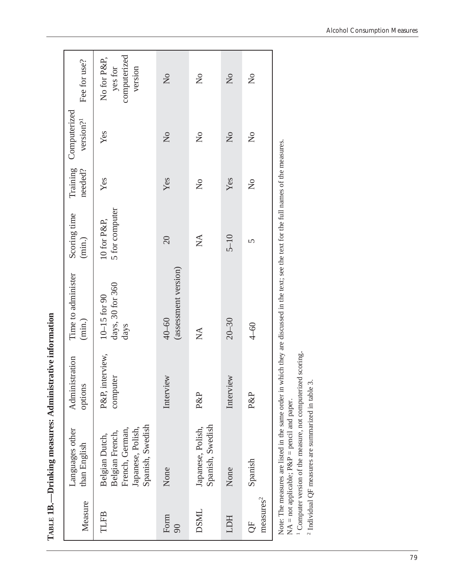| Measure                     | Languages other<br>than English                                                               | Administration<br>options   | Time to administer<br>(min.)                 | Scoring time<br>(min.)        | needed?               | Training Computerized<br>version? <sup>1</sup> | Fee for use?                                      |
|-----------------------------|-----------------------------------------------------------------------------------------------|-----------------------------|----------------------------------------------|-------------------------------|-----------------------|------------------------------------------------|---------------------------------------------------|
| <b>TLFB</b>                 | Spanish, Swedish<br>French, German,<br>Japanese, Polish,<br>Belgian French,<br>Belgian Dutch, | P&P, interview,<br>computer | days, 30 for 360<br>$10-15$ for $90$<br>days | 5 for computer<br>10 for P&P, | Yes                   | Yes                                            | computerized<br>No for P&P,<br>yes for<br>version |
| Form<br>90                  | None                                                                                          | Interview                   | (assessment version)<br>$40 - 60$            | 20                            | Yes                   | $\overline{X}$                                 | $\overline{a}$                                    |
| DSML                        | Spanish, Swedish<br>Japanese, Polish,                                                         | P&P                         | $\sum_{i=1}^{n}$                             | $\sum_{i=1}^{n}$              | $\overline{Q}$        | $\mathcal{L}^{\circ}$                          | $\mathsf{S}^{\mathsf{O}}$                         |
| HCT                         | None                                                                                          | Interview                   | $20 - 30$                                    | $5 - 10$                      | Yes                   | $\overline{X}$                                 | $\overline{X}$                                    |
| measures <sup>2</sup><br>5C | Spanish                                                                                       | P&P                         | $4-60$                                       | 5                             | $\mathcal{L}^{\circ}$ | $\overline{a}$                                 | $\mathcal{L}^{\circ}$                             |

**TABLE 1B.—Drinking measures: Administrative information**  TABLE 1B.-Drinking measures: Administrative information Note: The measures are listed in the same order in which they are discussed in the text; see the text for the full names of the measures.  $NA = not applicable; P\&P = pencil and paper.$ 

1 Computer version of the measure, not computerized scoring. <sup>1</sup> Computer version of the measure, not computerized scoring.

 $^2$  Individual QF measures are summarized in table 3. 2 Individual QF measures are summarized in table 3.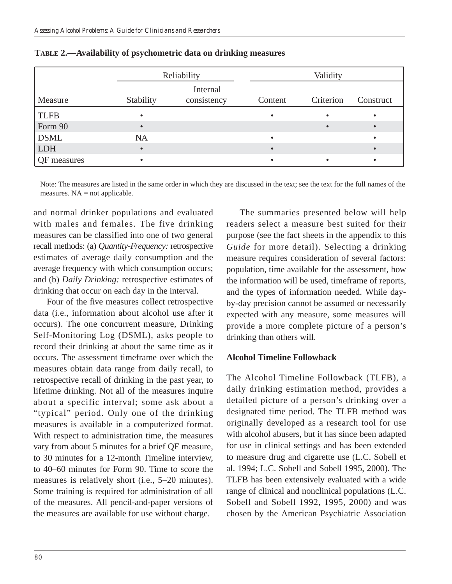|                    |           | Reliability             | Validity |           |           |  |  |
|--------------------|-----------|-------------------------|----------|-----------|-----------|--|--|
| Measure            | Stability | Internal<br>consistency | Content  | Criterion | Construct |  |  |
| <b>TLFB</b>        |           |                         |          |           | $\bullet$ |  |  |
| Form 90            |           |                         |          |           |           |  |  |
| <b>DSML</b>        | <b>NA</b> |                         |          |           | $\bullet$ |  |  |
| <b>LDH</b>         | $\bullet$ |                         |          |           |           |  |  |
| <b>OF</b> measures |           |                         |          |           | $\bullet$ |  |  |

|  |  | TABLE 2.—Availability of psychometric data on drinking measures |
|--|--|-----------------------------------------------------------------|
|--|--|-----------------------------------------------------------------|

Note: The measures are listed in the same order in which they are discussed in the text; see the text for the full names of the measures.  $NA = not applicable.$ 

and normal drinker populations and evaluated with males and females. The five drinking measures can be classified into one of two general recall methods: (a) *Quantity-Frequency:* retrospective estimates of average daily consumption and the average frequency with which consumption occurs; and (b) *Daily Drinking:* retrospective estimates of drinking that occur on each day in the interval.

Four of the five measures collect retrospective data (i.e., information about alcohol use after it occurs). The one concurrent measure, Drinking Self-Monitoring Log (DSML), asks people to record their drinking at about the same time as it occurs. The assessment timeframe over which the measures obtain data range from daily recall, to retrospective recall of drinking in the past year, to lifetime drinking. Not all of the measures inquire about a specific interval; some ask about a "typical" period. Only one of the drinking measures is available in a computerized format. With respect to administration time, the measures vary from about 5 minutes for a brief QF measure, to 30 minutes for a 12-month Timeline interview, to 40–60 minutes for Form 90. Time to score the measures is relatively short (i.e., 5–20 minutes). Some training is required for administration of all of the measures. All pencil-and-paper versions of the measures are available for use without charge.

The summaries presented below will help readers select a measure best suited for their purpose (see the fact sheets in the appendix to this *Guide* for more detail). Selecting a drinking measure requires consideration of several factors: population, time available for the assessment, how the information will be used, timeframe of reports, and the types of information needed. While dayby-day precision cannot be assumed or necessarily expected with any measure, some measures will provide a more complete picture of a person's drinking than others will.

#### **Alcohol Timeline Followback**

The Alcohol Timeline Followback (TLFB), a daily drinking estimation method, provides a detailed picture of a person's drinking over a designated time period. The TLFB method was originally developed as a research tool for use with alcohol abusers, but it has since been adapted for use in clinical settings and has been extended to measure drug and cigarette use (L.C. Sobell et al. 1994; L.C. Sobell and Sobell 1995, 2000). The TLFB has been extensively evaluated with a wide range of clinical and nonclinical populations (L.C. Sobell and Sobell 1992, 1995, 2000) and was chosen by the American Psychiatric Association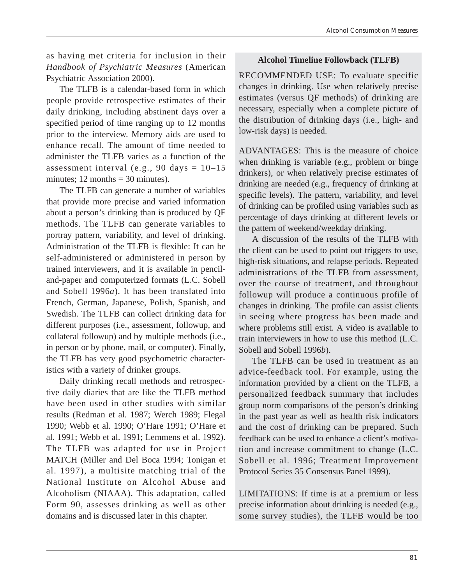as having met criteria for inclusion in their *Handbook of Psychiatric Measures* (American Psychiatric Association 2000).

The TLFB is a calendar-based form in which people provide retrospective estimates of their daily drinking, including abstinent days over a specified period of time ranging up to 12 months prior to the interview. Memory aids are used to enhance recall. The amount of time needed to administer the TLFB varies as a function of the assessment interval (e.g., 90 days =  $10-15$ ) minutes;  $12$  months = 30 minutes).

The TLFB can generate a number of variables that provide more precise and varied information about a person's drinking than is produced by QF methods. The TLFB can generate variables to portray pattern, variability, and level of drinking. Administration of the TLFB is flexible: It can be self-administered or administered in person by trained interviewers, and it is available in penciland-paper and computerized formats (L.C. Sobell and Sobell 1996*a*). It has been translated into French, German, Japanese, Polish, Spanish, and Swedish. The TLFB can collect drinking data for different purposes (i.e., assessment, followup, and collateral followup) and by multiple methods (i.e., in person or by phone, mail, or computer). Finally, the TLFB has very good psychometric characteristics with a variety of drinker groups.

Daily drinking recall methods and retrospective daily diaries that are like the TLFB method have been used in other studies with similar results (Redman et al. 1987; Werch 1989; Flegal 1990; Webb et al. 1990; O'Hare 1991; O'Hare et al. 1991; Webb et al. 1991; Lemmens et al. 1992). The TLFB was adapted for use in Project MATCH (Miller and Del Boca 1994; Tonigan et al. 1997), a multisite matching trial of the National Institute on Alcohol Abuse and Alcoholism (NIAAA). This adaptation, called Form 90, assesses drinking as well as other domains and is discussed later in this chapter.

#### **Alcohol Timeline Followback (TLFB)**

RECOMMENDED USE: To evaluate specific changes in drinking. Use when relatively precise estimates (versus QF methods) of drinking are necessary, especially when a complete picture of the distribution of drinking days (i.e., high- and low-risk days) is needed.

ADVANTAGES: This is the measure of choice when drinking is variable (e.g., problem or binge drinkers), or when relatively precise estimates of drinking are needed (e.g., frequency of drinking at specific levels). The pattern, variability, and level of drinking can be profiled using variables such as percentage of days drinking at different levels or the pattern of weekend/weekday drinking.

A discussion of the results of the TLFB with the client can be used to point out triggers to use, high-risk situations, and relapse periods. Repeated administrations of the TLFB from assessment, over the course of treatment, and throughout followup will produce a continuous profile of changes in drinking. The profile can assist clients in seeing where progress has been made and where problems still exist. A video is available to train interviewers in how to use this method (L.C. Sobell and Sobell 1996*b*).

The TLFB can be used in treatment as an advice-feedback tool. For example, using the information provided by a client on the TLFB, a personalized feedback summary that includes group norm comparisons of the person's drinking in the past year as well as health risk indicators and the cost of drinking can be prepared. Such feedback can be used to enhance a client's motivation and increase commitment to change (L.C. Sobell et al. 1996; Treatment Improvement Protocol Series 35 Consensus Panel 1999).

LIMITATIONS: If time is at a premium or less precise information about drinking is needed (e.g., some survey studies), the TLFB would be too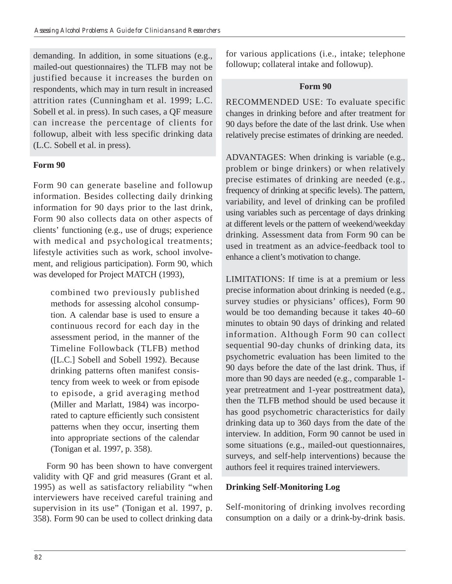demanding. In addition, in some situations (e.g., mailed-out questionnaires) the TLFB may not be justified because it increases the burden on respondents, which may in turn result in increased attrition rates (Cunningham et al. 1999; L.C. Sobell et al. in press). In such cases, a QF measure can increase the percentage of clients for followup, albeit with less specific drinking data (L.C. Sobell et al. in press).

# **Form 90**

Form 90 can generate baseline and followup information. Besides collecting daily drinking information for 90 days prior to the last drink, Form 90 also collects data on other aspects of clients' functioning (e.g., use of drugs; experience with medical and psychological treatments; lifestyle activities such as work, school involvement, and religious participation). Form 90, which was developed for Project MATCH (1993),

combined two previously published methods for assessing alcohol consumption. A calendar base is used to ensure a continuous record for each day in the assessment period, in the manner of the Timeline Followback (TLFB) method ([L.C.] Sobell and Sobell 1992). Because drinking patterns often manifest consistency from week to week or from episode to episode, a grid averaging method (Miller and Marlatt, 1984) was incorporated to capture efficiently such consistent patterns when they occur, inserting them into appropriate sections of the calendar (Tonigan et al. 1997, p. 358).

Form 90 has been shown to have convergent validity with QF and grid measures (Grant et al. 1995) as well as satisfactory reliability "when interviewers have received careful training and supervision in its use" (Tonigan et al. 1997, p. 358). Form 90 can be used to collect drinking data for various applications (i.e., intake; telephone followup; collateral intake and followup).

# **Form 90**

RECOMMENDED USE: To evaluate specific changes in drinking before and after treatment for 90 days before the date of the last drink. Use when relatively precise estimates of drinking are needed.

ADVANTAGES: When drinking is variable (e.g., problem or binge drinkers) or when relatively precise estimates of drinking are needed (e.g., frequency of drinking at specific levels). The pattern, variability, and level of drinking can be profiled using variables such as percentage of days drinking at different levels or the pattern of weekend/weekday drinking. Assessment data from Form 90 can be used in treatment as an advice-feedback tool to enhance a client's motivation to change.

LIMITATIONS: If time is at a premium or less precise information about drinking is needed (e.g., survey studies or physicians' offices), Form 90 would be too demanding because it takes 40–60 minutes to obtain 90 days of drinking and related information. Although Form 90 can collect sequential 90-day chunks of drinking data, its psychometric evaluation has been limited to the 90 days before the date of the last drink. Thus, if more than 90 days are needed (e.g., comparable 1 year pretreatment and 1-year posttreatment data), then the TLFB method should be used because it has good psychometric characteristics for daily drinking data up to 360 days from the date of the interview. In addition, Form 90 cannot be used in some situations (e.g., mailed-out questionnaires, surveys, and self-help interventions) because the authors feel it requires trained interviewers.

# **Drinking Self-Monitoring Log**

Self-monitoring of drinking involves recording consumption on a daily or a drink-by-drink basis.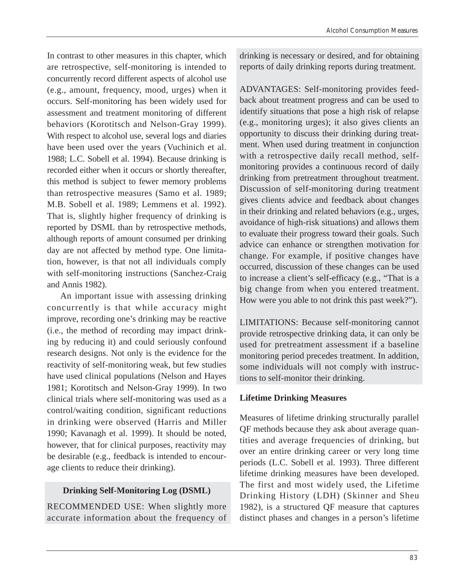In contrast to other measures in this chapter, which are retrospective, self-monitoring is intended to concurrently record different aspects of alcohol use (e.g., amount, frequency, mood, urges) when it occurs. Self-monitoring has been widely used for assessment and treatment monitoring of different behaviors (Korotitsch and Nelson-Gray 1999). With respect to alcohol use, several logs and diaries have been used over the years (Vuchinich et al. 1988; L.C. Sobell et al. 1994). Because drinking is recorded either when it occurs or shortly thereafter, this method is subject to fewer memory problems than retrospective measures (Samo et al. 1989; M.B. Sobell et al. 1989; Lemmens et al. 1992). That is, slightly higher frequency of drinking is reported by DSML than by retrospective methods, although reports of amount consumed per drinking day are not affected by method type. One limitation, however, is that not all individuals comply with self-monitoring instructions (Sanchez-Craig and Annis 1982).

An important issue with assessing drinking concurrently is that while accuracy might improve, recording one's drinking may be reactive (i.e., the method of recording may impact drinking by reducing it) and could seriously confound research designs. Not only is the evidence for the reactivity of self-monitoring weak, but few studies have used clinical populations (Nelson and Hayes 1981; Korotitsch and Nelson-Gray 1999). In two clinical trials where self-monitoring was used as a control/waiting condition, significant reductions in drinking were observed (Harris and Miller 1990; Kavanagh et al. 1999). It should be noted, however, that for clinical purposes, reactivity may be desirable (e.g., feedback is intended to encourage clients to reduce their drinking).

## **Drinking Self-Monitoring Log (DSML)**

RECOMMENDED USE: When slightly more accurate information about the frequency of drinking is necessary or desired, and for obtaining reports of daily drinking reports during treatment.

ADVANTAGES: Self-monitoring provides feedback about treatment progress and can be used to identify situations that pose a high risk of relapse (e.g., monitoring urges); it also gives clients an opportunity to discuss their drinking during treatment. When used during treatment in conjunction with a retrospective daily recall method, selfmonitoring provides a continuous record of daily drinking from pretreatment throughout treatment. Discussion of self-monitoring during treatment gives clients advice and feedback about changes in their drinking and related behaviors (e.g., urges, avoidance of high-risk situations) and allows them to evaluate their progress toward their goals. Such advice can enhance or strengthen motivation for change. For example, if positive changes have occurred, discussion of these changes can be used to increase a client's self-efficacy (e.g., "That is a big change from when you entered treatment. How were you able to not drink this past week?").

LIMITATIONS: Because self-monitoring cannot provide retrospective drinking data, it can only be used for pretreatment assessment if a baseline monitoring period precedes treatment. In addition, some individuals will not comply with instructions to self-monitor their drinking.

# **Lifetime Drinking Measures**

Measures of lifetime drinking structurally parallel QF methods because they ask about average quantities and average frequencies of drinking, but over an entire drinking career or very long time periods (L.C. Sobell et al. 1993). Three different lifetime drinking measures have been developed. The first and most widely used, the Lifetime Drinking History (LDH) (Skinner and Sheu 1982), is a structured QF measure that captures distinct phases and changes in a person's lifetime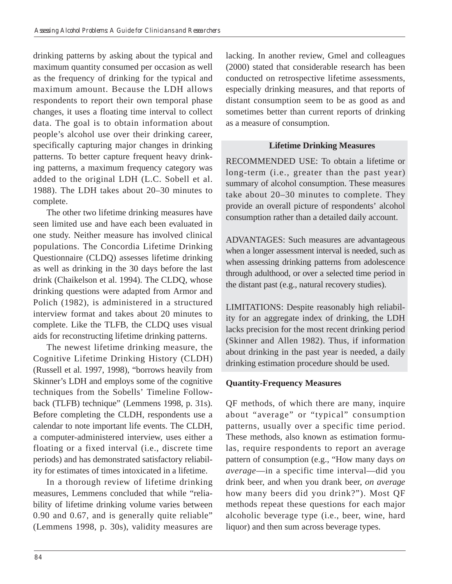drinking patterns by asking about the typical and maximum quantity consumed per occasion as well as the frequency of drinking for the typical and maximum amount. Because the LDH allows respondents to report their own temporal phase changes, it uses a floating time interval to collect data. The goal is to obtain information about people's alcohol use over their drinking career, specifically capturing major changes in drinking patterns. To better capture frequent heavy drinking patterns, a maximum frequency category was added to the original LDH (L.C. Sobell et al. 1988). The LDH takes about 20–30 minutes to complete.

The other two lifetime drinking measures have seen limited use and have each been evaluated in one study. Neither measure has involved clinical populations. The Concordia Lifetime Drinking Questionnaire (CLDQ) assesses lifetime drinking as well as drinking in the 30 days before the last drink (Chaikelson et al. 1994). The CLDQ, whose drinking questions were adapted from Armor and Polich (1982), is administered in a structured interview format and takes about 20 minutes to complete. Like the TLFB, the CLDQ uses visual aids for reconstructing lifetime drinking patterns.

The newest lifetime drinking measure, the Cognitive Lifetime Drinking History (CLDH) (Russell et al. 1997, 1998), "borrows heavily from Skinner's LDH and employs some of the cognitive techniques from the Sobells' Timeline Followback (TLFB) technique" (Lemmens 1998, p. 31s). Before completing the CLDH, respondents use a calendar to note important life events. The CLDH, a computer-administered interview, uses either a floating or a fixed interval (i.e., discrete time periods) and has demonstrated satisfactory reliability for estimates of times intoxicated in a lifetime.

In a thorough review of lifetime drinking measures, Lemmens concluded that while "reliability of lifetime drinking volume varies between 0.90 and 0.67, and is generally quite reliable" (Lemmens 1998, p. 30s), validity measures are

lacking. In another review, Gmel and colleagues (2000) stated that considerable research has been conducted on retrospective lifetime assessments, especially drinking measures, and that reports of distant consumption seem to be as good as and sometimes better than current reports of drinking as a measure of consumption.

#### **Lifetime Drinking Measures**

RECOMMENDED USE: To obtain a lifetime or long-term (i.e., greater than the past year) summary of alcohol consumption. These measures take about 20–30 minutes to complete. They provide an overall picture of respondents' alcohol consumption rather than a detailed daily account.

ADVANTAGES: Such measures are advantageous when a longer assessment interval is needed, such as when assessing drinking patterns from adolescence through adulthood, or over a selected time period in the distant past (e.g., natural recovery studies).

LIMITATIONS: Despite reasonably high reliability for an aggregate index of drinking, the LDH lacks precision for the most recent drinking period (Skinner and Allen 1982). Thus, if information about drinking in the past year is needed, a daily drinking estimation procedure should be used.

## **Quantity-Frequency Measures**

QF methods, of which there are many, inquire about "average" or "typical" consumption patterns, usually over a specific time period. These methods, also known as estimation formulas, require respondents to report an average pattern of consumption (e.g., "How many days *on average*—in a specific time interval—did you drink beer, and when you drank beer, *on average*  how many beers did you drink?"). Most QF methods repeat these questions for each major alcoholic beverage type (i.e., beer, wine, hard liquor) and then sum across beverage types.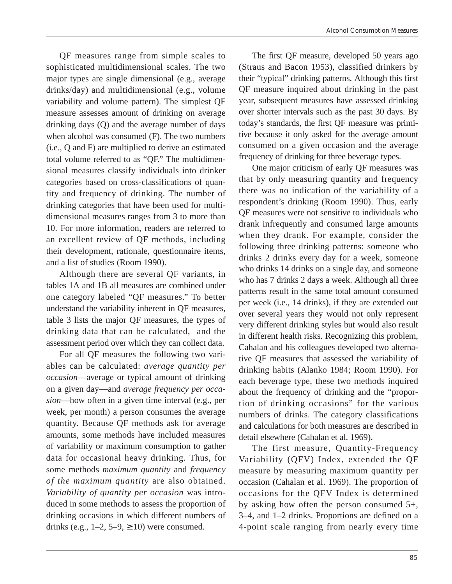QF measures range from simple scales to sophisticated multidimensional scales. The two major types are single dimensional (e.g., average drinks/day) and multidimensional (e.g., volume variability and volume pattern). The simplest QF measure assesses amount of drinking on average drinking days (Q) and the average number of days when alcohol was consumed (F). The two numbers (i.e., Q and F) are multiplied to derive an estimated total volume referred to as "QF." The multidimensional measures classify individuals into drinker categories based on cross-classifications of quantity and frequency of drinking. The number of drinking categories that have been used for multidimensional measures ranges from 3 to more than 10. For more information, readers are referred to an excellent review of QF methods, including their development, rationale, questionnaire items, and a list of studies (Room 1990).

Although there are several QF variants, in tables 1A and 1B all measures are combined under one category labeled "QF measures." To better understand the variability inherent in QF measures, table 3 lists the major QF measures, the types of drinking data that can be calculated, and the assessment period over which they can collect data.

For all QF measures the following two variables can be calculated: *average quantity per occasion*—average or typical amount of drinking on a given day—and *average frequency per occasion*—how often in a given time interval (e.g., per week, per month) a person consumes the average quantity. Because QF methods ask for average amounts, some methods have included measures of variability or maximum consumption to gather data for occasional heavy drinking. Thus, for some methods *maximum quantity* and *frequency of the maximum quantity* are also obtained. *Variability of quantity per occasion* was introduced in some methods to assess the proportion of drinking occasions in which different numbers of drinks (e.g.,  $1-2$ ,  $5-9$ ,  $\geq 10$ ) were consumed.

The first QF measure, developed 50 years ago (Straus and Bacon 1953), classified drinkers by their "typical" drinking patterns. Although this first QF measure inquired about drinking in the past year, subsequent measures have assessed drinking over shorter intervals such as the past 30 days. By today's standards, the first QF measure was primitive because it only asked for the average amount consumed on a given occasion and the average frequency of drinking for three beverage types.

One major criticism of early QF measures was that by only measuring quantity and frequency there was no indication of the variability of a respondent's drinking (Room 1990). Thus, early QF measures were not sensitive to individuals who drank infrequently and consumed large amounts when they drank. For example, consider the following three drinking patterns: someone who drinks 2 drinks every day for a week, someone who drinks 14 drinks on a single day, and someone who has 7 drinks 2 days a week. Although all three patterns result in the same total amount consumed per week (i.e., 14 drinks), if they are extended out over several years they would not only represent very different drinking styles but would also result in different health risks. Recognizing this problem, Cahalan and his colleagues developed two alternative QF measures that assessed the variability of drinking habits (Alanko 1984; Room 1990). For each beverage type, these two methods inquired about the frequency of drinking and the "proportion of drinking occasions" for the various numbers of drinks. The category classifications and calculations for both measures are described in detail elsewhere (Cahalan et al. 1969).

The first measure, Quantity-Frequency Variability (QFV) Index, extended the QF measure by measuring maximum quantity per occasion (Cahalan et al. 1969). The proportion of occasions for the QFV Index is determined by asking how often the person consumed 5+, 3–4, and 1–2 drinks. Proportions are defined on a 4-point scale ranging from nearly every time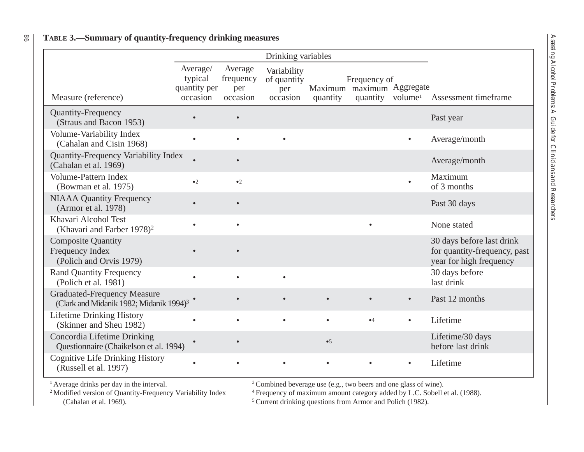|                                                                                           |                                                 |                                         | Drinking variables                            |           |                                                                           |           |                                                                                      |
|-------------------------------------------------------------------------------------------|-------------------------------------------------|-----------------------------------------|-----------------------------------------------|-----------|---------------------------------------------------------------------------|-----------|--------------------------------------------------------------------------------------|
| Measure (reference)                                                                       | Average/<br>typical<br>quantity per<br>occasion | Average<br>frequency<br>per<br>occasion | Variability<br>of quantity<br>per<br>occasion | quantity  | Frequency of<br>Maximum maximum Aggregate<br>quantity volume <sup>1</sup> |           | Assessment timeframe                                                                 |
| <b>Quantity-Frequency</b><br>(Straus and Bacon 1953)                                      |                                                 | $\bullet$                               |                                               |           |                                                                           |           | Past year                                                                            |
| Volume-Variability Index<br>(Cahalan and Cisin 1968)                                      | $\bullet$                                       | $\bullet$                               | $\bullet$                                     |           |                                                                           | $\bullet$ | Average/month                                                                        |
| Quantity-Frequency Variability Index<br>(Cahalan et al. 1969)                             |                                                 | $\bullet$                               |                                               |           |                                                                           |           | Average/month                                                                        |
| <b>Volume-Pattern Index</b><br>(Bowman et al. 1975)                                       | $\bullet$ 2                                     | $\bullet$ 2                             |                                               |           |                                                                           | $\bullet$ | Maximum<br>of 3 months                                                               |
| <b>NIAAA Quantity Frequency</b><br>(Armor et al. 1978)                                    |                                                 | $\bullet$                               |                                               |           |                                                                           |           | Past 30 days                                                                         |
| Khavari Alcohol Test<br>(Khavari and Farber $1978$ ) <sup>2</sup>                         |                                                 | $\bullet$                               |                                               |           |                                                                           |           | None stated                                                                          |
| <b>Composite Quantity</b><br>Frequency Index<br>(Polich and Orvis 1979)                   |                                                 |                                         |                                               |           |                                                                           |           | 30 days before last drink<br>for quantity-frequency, past<br>year for high frequency |
| <b>Rand Quantity Frequency</b><br>(Polich et al. 1981)                                    |                                                 | $\bullet$                               | $\bullet$                                     |           |                                                                           |           | 30 days before<br>last drink                                                         |
| <b>Graduated-Frequency Measure</b><br>(Clark and Midanik 1982; Midanik 1994) <sup>3</sup> |                                                 |                                         |                                               | $\bullet$ |                                                                           | $\bullet$ | Past 12 months                                                                       |
| <b>Lifetime Drinking History</b><br>(Skinner and Sheu 1982)                               | $\bullet$                                       | $\bullet$                               | $\bullet$                                     | $\bullet$ | •4                                                                        | $\bullet$ | Lifetime                                                                             |
| Concordia Lifetime Drinking<br>Questionnaire (Chaikelson et al. 1994)                     |                                                 | $\bullet$                               |                                               | •5        |                                                                           |           | Lifetime/30 days<br>before last drink                                                |
| <b>Cognitive Life Drinking History</b><br>(Russell et al. 1997)                           |                                                 |                                         |                                               |           |                                                                           |           | Lifetime                                                                             |

### 86**TABLE 3.—Summary of quantity-frequency drinking measures**

<sup>1</sup> Average drinks per day in the interval.<br><sup>3</sup> Combined beverage use (e.g., two beers and one glass of wine).<br><sup>2</sup> Modified version of Quantity-Frequency Variability Index<sup>4</sup> Frequency of maximum amount category added by L

2 odified version of Quantity-Frequency Variability Index <sup>4</sup> Frequency of maximum amount category added by L.C. Sobell et al. (1988).<br>
<sup>5</sup> Current drinking questions from Armor and Polich (1982).

 $5$  Current drinking questions from Armor and Polich (1982).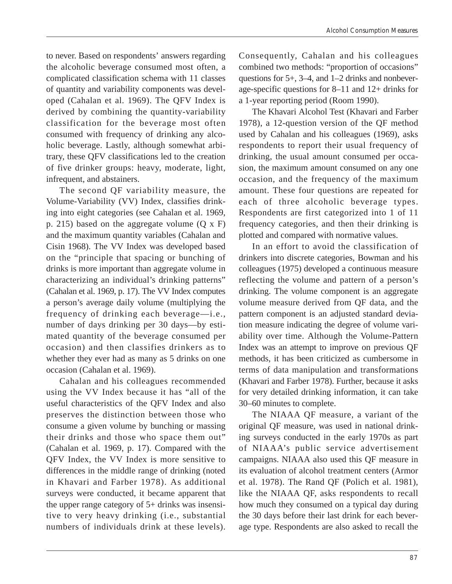to never. Based on respondents' answers regarding the alcoholic beverage consumed most often, a complicated classification schema with 11 classes of quantity and variability components was developed (Cahalan et al. 1969). The QFV Index is derived by combining the quantity-variability classification for the beverage most often consumed with frequency of drinking any alcoholic beverage. Lastly, although somewhat arbitrary, these QFV classifications led to the creation of five drinker groups: heavy, moderate, light, infrequent, and abstainers.

The second QF variability measure, the Volume-Variability (VV) Index, classifies drinking into eight categories (see Cahalan et al. 1969, p. 215) based on the aggregate volume  $(Q \times F)$ and the maximum quantity variables (Cahalan and Cisin 1968). The VV Index was developed based on the "principle that spacing or bunching of drinks is more important than aggregate volume in characterizing an individual's drinking patterns" (Cahalan et al. 1969, p. 17). The VV Index computes a person's average daily volume (multiplying the frequency of drinking each beverage—i.e., number of days drinking per 30 days—by estimated quantity of the beverage consumed per occasion) and then classifies drinkers as to whether they ever had as many as 5 drinks on one occasion (Cahalan et al. 1969).

Cahalan and his colleagues recommended using the VV Index because it has "all of the useful characteristics of the QFV Index and also preserves the distinction between those who consume a given volume by bunching or massing their drinks and those who space them out" (Cahalan et al. 1969, p. 17). Compared with the QFV Index, the VV Index is more sensitive to differences in the middle range of drinking (noted in Khavari and Farber 1978). As additional surveys were conducted, it became apparent that the upper range category of 5+ drinks was insensitive to very heavy drinking (i.e., substantial numbers of individuals drink at these levels).

Consequently, Cahalan and his colleagues combined two methods: "proportion of occasions" questions for 5+, 3–4, and 1–2 drinks and nonbeverage-specific questions for 8–11 and 12+ drinks for a 1-year reporting period (Room 1990).

The Khavari Alcohol Test (Khavari and Farber 1978), a 12-question version of the QF method used by Cahalan and his colleagues (1969), asks respondents to report their usual frequency of drinking, the usual amount consumed per occasion, the maximum amount consumed on any one occasion, and the frequency of the maximum amount. These four questions are repeated for each of three alcoholic beverage types. Respondents are first categorized into 1 of 11 frequency categories, and then their drinking is plotted and compared with normative values.

In an effort to avoid the classification of drinkers into discrete categories, Bowman and his colleagues (1975) developed a continuous measure reflecting the volume and pattern of a person's drinking. The volume component is an aggregate volume measure derived from QF data, and the pattern component is an adjusted standard deviation measure indicating the degree of volume variability over time. Although the Volume-Pattern Index was an attempt to improve on previous QF methods, it has been criticized as cumbersome in terms of data manipulation and transformations (Khavari and Farber 1978). Further, because it asks for very detailed drinking information, it can take 30–60 minutes to complete.

The NIAAA QF measure, a variant of the original QF measure, was used in national drinking surveys conducted in the early 1970s as part of NIAAA's public service advertisement campaigns. NIAAA also used this QF measure in its evaluation of alcohol treatment centers (Armor et al. 1978). The Rand QF (Polich et al. 1981), like the NIAAA QF, asks respondents to recall how much they consumed on a typical day during the 30 days before their last drink for each beverage type. Respondents are also asked to recall the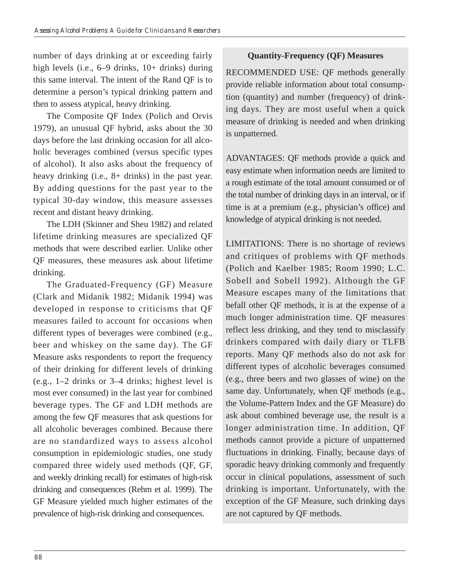number of days drinking at or exceeding fairly high levels (i.e., 6–9 drinks, 10+ drinks) during this same interval. The intent of the Rand QF is to determine a person's typical drinking pattern and then to assess atypical, heavy drinking.

The Composite QF Index (Polich and Orvis 1979), an unusual QF hybrid, asks about the 30 days before the last drinking occasion for all alcoholic beverages combined (versus specific types of alcohol). It also asks about the frequency of heavy drinking (i.e., 8+ drinks) in the past year. By adding questions for the past year to the typical 30-day window, this measure assesses recent and distant heavy drinking.

The LDH (Skinner and Sheu 1982) and related lifetime drinking measures are specialized QF methods that were described earlier. Unlike other QF measures, these measures ask about lifetime drinking.

The Graduated-Frequency (GF) Measure (Clark and Midanik 1982; Midanik 1994) was developed in response to criticisms that QF measures failed to account for occasions when different types of beverages were combined (e.g., beer and whiskey on the same day). The GF Measure asks respondents to report the frequency of their drinking for different levels of drinking (e.g., 1–2 drinks or 3–4 drinks; highest level is most ever consumed) in the last year for combined beverage types. The GF and LDH methods are among the few QF measures that ask questions for all alcoholic beverages combined. Because there are no standardized ways to assess alcohol consumption in epidemiologic studies, one study compared three widely used methods (QF, GF, and weekly drinking recall) for estimates of high-risk drinking and consequences (Rehm et al. 1999). The GF Measure yielded much higher estimates of the prevalence of high-risk drinking and consequences.

## **Quantity-Frequency (QF) Measures**

RECOMMENDED USE: QF methods generally provide reliable information about total consumption (quantity) and number (frequency) of drinking days. They are most useful when a quick measure of drinking is needed and when drinking is unpatterned.

ADVANTAGES: QF methods provide a quick and easy estimate when information needs are limited to a rough estimate of the total amount consumed or of the total number of drinking days in an interval, or if time is at a premium (e.g., physician's office) and knowledge of atypical drinking is not needed.

LIMITATIONS: There is no shortage of reviews and critiques of problems with QF methods (Polich and Kaelber 1985; Room 1990; L.C. Sobell and Sobell 1992). Although the GF Measure escapes many of the limitations that befall other QF methods, it is at the expense of a much longer administration time. QF measures reflect less drinking, and they tend to misclassify drinkers compared with daily diary or TLFB reports. Many QF methods also do not ask for different types of alcoholic beverages consumed (e.g., three beers and two glasses of wine) on the same day. Unfortunately, when QF methods (e.g., the Volume-Pattern Index and the GF Measure) do ask about combined beverage use, the result is a longer administration time. In addition, QF methods cannot provide a picture of unpatterned fluctuations in drinking. Finally, because days of sporadic heavy drinking commonly and frequently occur in clinical populations, assessment of such drinking is important. Unfortunately, with the exception of the GF Measure, such drinking days are not captured by QF methods.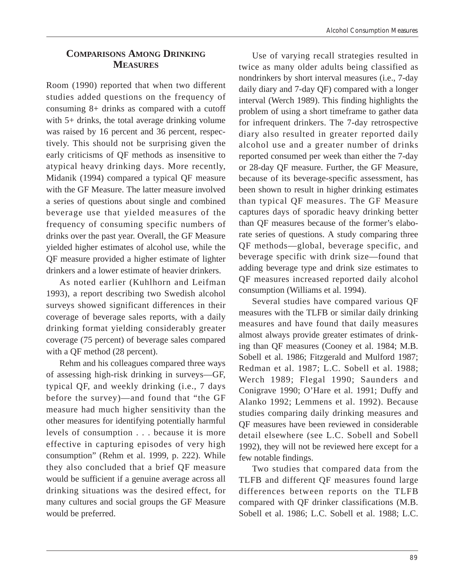# **COMPARISONS AMONG DRINKING MEASURES**

Room (1990) reported that when two different studies added questions on the frequency of consuming 8+ drinks as compared with a cutoff with 5+ drinks, the total average drinking volume was raised by 16 percent and 36 percent, respectively. This should not be surprising given the early criticisms of QF methods as insensitive to atypical heavy drinking days. More recently, Midanik (1994) compared a typical QF measure with the GF Measure. The latter measure involved a series of questions about single and combined beverage use that yielded measures of the frequency of consuming specific numbers of drinks over the past year. Overall, the GF Measure yielded higher estimates of alcohol use, while the QF measure provided a higher estimate of lighter drinkers and a lower estimate of heavier drinkers.

As noted earlier (Kuhlhorn and Leifman 1993), a report describing two Swedish alcohol surveys showed significant differences in their coverage of beverage sales reports, with a daily drinking format yielding considerably greater coverage (75 percent) of beverage sales compared with a QF method  $(28$  percent).

Rehm and his colleagues compared three ways of assessing high-risk drinking in surveys—GF, typical QF, and weekly drinking (i.e., 7 days before the survey)—and found that "the GF measure had much higher sensitivity than the other measures for identifying potentially harmful levels of consumption . . . because it is more effective in capturing episodes of very high consumption" (Rehm et al. 1999, p. 222). While they also concluded that a brief QF measure would be sufficient if a genuine average across all drinking situations was the desired effect, for many cultures and social groups the GF Measure would be preferred.

Use of varying recall strategies resulted in twice as many older adults being classified as nondrinkers by short interval measures (i.e., 7-day daily diary and 7-day QF) compared with a longer interval (Werch 1989). This finding highlights the problem of using a short timeframe to gather data for infrequent drinkers. The 7-day retrospective diary also resulted in greater reported daily alcohol use and a greater number of drinks reported consumed per week than either the 7-day or 28-day QF measure. Further, the GF Measure, because of its beverage-specific assessment, has been shown to result in higher drinking estimates than typical QF measures. The GF Measure captures days of sporadic heavy drinking better than QF measures because of the former's elaborate series of questions. A study comparing three QF methods—global, beverage specific, and beverage specific with drink size—found that adding beverage type and drink size estimates to QF measures increased reported daily alcohol consumption (Williams et al. 1994).

Several studies have compared various QF measures with the TLFB or similar daily drinking measures and have found that daily measures almost always provide greater estimates of drinking than QF measures (Cooney et al. 1984; M.B. Sobell et al. 1986; Fitzgerald and Mulford 1987; Redman et al. 1987; L.C. Sobell et al. 1988; Werch 1989; Flegal 1990; Saunders and Conigrave 1990; O'Hare et al. 1991; Duffy and Alanko 1992; Lemmens et al. 1992). Because studies comparing daily drinking measures and QF measures have been reviewed in considerable detail elsewhere (see L.C. Sobell and Sobell 1992), they will not be reviewed here except for a few notable findings.

Two studies that compared data from the TLFB and different QF measures found large differences between reports on the TLFB compared with QF drinker classifications (M.B. Sobell et al. 1986; L.C. Sobell et al. 1988; L.C.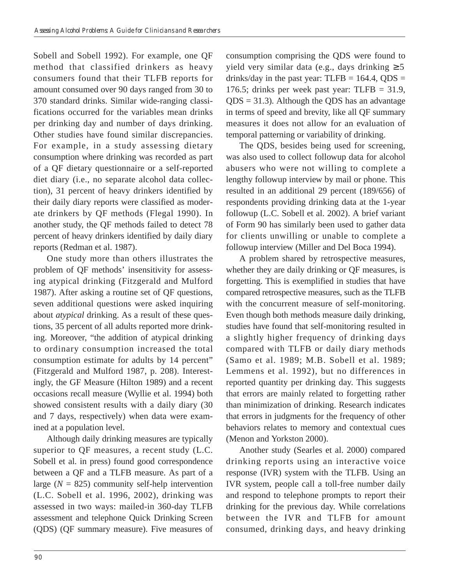Sobell and Sobell 1992). For example, one QF method that classified drinkers as heavy consumers found that their TLFB reports for amount consumed over 90 days ranged from 30 to 370 standard drinks. Similar wide-ranging classifications occurred for the variables mean drinks per drinking day and number of days drinking. Other studies have found similar discrepancies. For example, in a study assessing dietary consumption where drinking was recorded as part of a QF dietary questionnaire or a self-reported diet diary (i.e., no separate alcohol data collection), 31 percent of heavy drinkers identified by their daily diary reports were classified as moderate drinkers by QF methods (Flegal 1990). In another study, the QF methods failed to detect 78 percent of heavy drinkers identified by daily diary reports (Redman et al. 1987).

One study more than others illustrates the problem of QF methods' insensitivity for assessing atypical drinking (Fitzgerald and Mulford 1987). After asking a routine set of QF questions, seven additional questions were asked inquiring about *atypical* drinking. As a result of these questions, 35 percent of all adults reported more drinking. Moreover, "the addition of atypical drinking to ordinary consumption increased the total consumption estimate for adults by 14 percent" (Fitzgerald and Mulford 1987, p. 208). Interestingly, the GF Measure (Hilton 1989) and a recent occasions recall measure (Wyllie et al. 1994) both showed consistent results with a daily diary (30 and 7 days, respectively) when data were examined at a population level.

Although daily drinking measures are typically superior to QF measures, a recent study (L.C. Sobell et al. in press) found good correspondence between a QF and a TLFB measure. As part of a large  $(N = 825)$  community self-help intervention (L.C. Sobell et al. 1996, 2002), drinking was assessed in two ways: mailed-in 360-day TLFB assessment and telephone Quick Drinking Screen (QDS) (QF summary measure). Five measures of consumption comprising the QDS were found to yield very similar data (e.g., days drinking ≥ 5 drinks/day in the past year: TLFB =  $164.4$ , QDS = 176.5; drinks per week past year: TLFB = 31.9,  $QDS = 31.3$ . Although the QDS has an advantage in terms of speed and brevity, like all QF summary measures it does not allow for an evaluation of temporal patterning or variability of drinking.

The QDS, besides being used for screening, was also used to collect followup data for alcohol abusers who were not willing to complete a lengthy followup interview by mail or phone. This resulted in an additional 29 percent (189/656) of respondents providing drinking data at the 1-year followup (L.C. Sobell et al. 2002). A brief variant of Form 90 has similarly been used to gather data for clients unwilling or unable to complete a followup interview (Miller and Del Boca 1994).

A problem shared by retrospective measures, whether they are daily drinking or QF measures, is forgetting. This is exemplified in studies that have compared retrospective measures, such as the TLFB with the concurrent measure of self-monitoring. Even though both methods measure daily drinking, studies have found that self-monitoring resulted in a slightly higher frequency of drinking days compared with TLFB or daily diary methods (Samo et al. 1989; M.B. Sobell et al. 1989; Lemmens et al. 1992), but no differences in reported quantity per drinking day. This suggests that errors are mainly related to forgetting rather than minimization of drinking. Research indicates that errors in judgments for the frequency of other behaviors relates to memory and contextual cues (Menon and Yorkston 2000).

Another study (Searles et al. 2000) compared drinking reports using an interactive voice response (IVR) system with the TLFB. Using an IVR system, people call a toll-free number daily and respond to telephone prompts to report their drinking for the previous day. While correlations between the IVR and TLFB for amount consumed, drinking days, and heavy drinking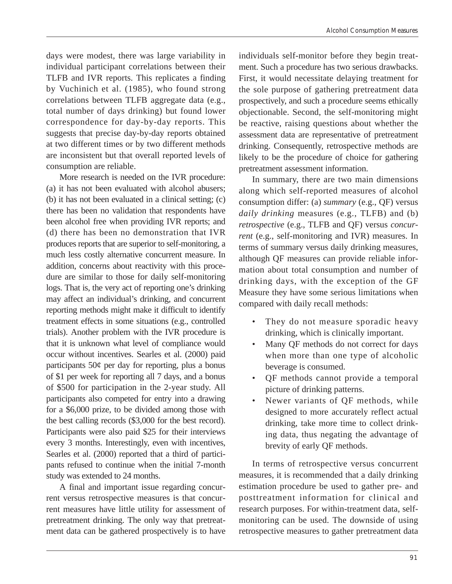days were modest, there was large variability in individual participant correlations between their TLFB and IVR reports. This replicates a finding by Vuchinich et al. (1985), who found strong correlations between TLFB aggregate data (e.g., total number of days drinking) but found lower correspondence for day-by-day reports. This suggests that precise day-by-day reports obtained at two different times or by two different methods are inconsistent but that overall reported levels of consumption are reliable.

More research is needed on the IVR procedure: (a) it has not been evaluated with alcohol abusers; (b) it has not been evaluated in a clinical setting; (c) there has been no validation that respondents have been alcohol free when providing IVR reports; and (d) there has been no demonstration that IVR produces reports that are superior to self-monitoring, a much less costly alternative concurrent measure. In addition, concerns about reactivity with this procedure are similar to those for daily self-monitoring logs. That is, the very act of reporting one's drinking may affect an individual's drinking, and concurrent reporting methods might make it difficult to identify treatment effects in some situations (e.g., controlled trials). Another problem with the IVR procedure is that it is unknown what level of compliance would occur without incentives. Searles et al. (2000) paid participants  $50¢$  per day for reporting, plus a bonus of \$1 per week for reporting all 7 days, and a bonus of \$500 for participation in the 2-year study. All participants also competed for entry into a drawing for a \$6,000 prize, to be divided among those with the best calling records (\$3,000 for the best record). Participants were also paid \$25 for their interviews every 3 months. Interestingly, even with incentives, Searles et al. (2000) reported that a third of participants refused to continue when the initial 7-month study was extended to 24 months.

A final and important issue regarding concurrent versus retrospective measures is that concurrent measures have little utility for assessment of pretreatment drinking. The only way that pretreatment data can be gathered prospectively is to have

individuals self-monitor before they begin treatment. Such a procedure has two serious drawbacks. First, it would necessitate delaying treatment for the sole purpose of gathering pretreatment data prospectively, and such a procedure seems ethically objectionable. Second, the self-monitoring might be reactive, raising questions about whether the assessment data are representative of pretreatment drinking. Consequently, retrospective methods are likely to be the procedure of choice for gathering pretreatment assessment information.

In summary, there are two main dimensions along which self-reported measures of alcohol consumption differ: (a) *summary* (e.g., QF) versus *daily drinking* measures (e.g., TLFB) and (b) *retrospective* (e.g., TLFB and QF) versus *concurrent* (e.g., self-monitoring and IVR) measures. In terms of summary versus daily drinking measures, although QF measures can provide reliable information about total consumption and number of drinking days, with the exception of the GF Measure they have some serious limitations when compared with daily recall methods:

- They do not measure sporadic heavy drinking, which is clinically important.
- Many QF methods do not correct for days when more than one type of alcoholic beverage is consumed.
- QF methods cannot provide a temporal picture of drinking patterns.
- Newer variants of QF methods, while designed to more accurately reflect actual drinking, take more time to collect drinking data, thus negating the advantage of brevity of early QF methods.

In terms of retrospective versus concurrent measures, it is recommended that a daily drinking estimation procedure be used to gather pre- and posttreatment information for clinical and research purposes. For within-treatment data, selfmonitoring can be used. The downside of using retrospective measures to gather pretreatment data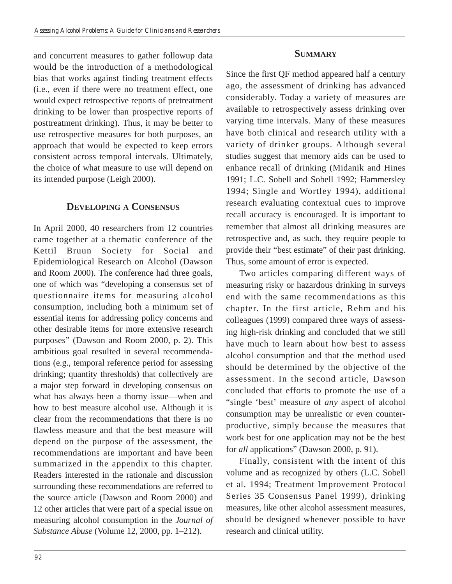# and concurrent measures to gather followup data would be the introduction of a methodological bias that works against finding treatment effects (i.e., even if there were no treatment effect, one would expect retrospective reports of pretreatment drinking to be lower than prospective reports of posttreatment drinking). Thus, it may be better to use retrospective measures for both purposes, an approach that would be expected to keep errors consistent across temporal intervals. Ultimately, the choice of what measure to use will depend on its intended purpose (Leigh 2000).

# **DEVELOPING A CONSENSUS**

In April 2000, 40 researchers from 12 countries came together at a thematic conference of the Kettil Bruun Society for Social and Epidemiological Research on Alcohol (Dawson and Room 2000). The conference had three goals, one of which was "developing a consensus set of questionnaire items for measuring alcohol consumption, including both a minimum set of essential items for addressing policy concerns and other desirable items for more extensive research purposes" (Dawson and Room 2000, p. 2). This ambitious goal resulted in several recommendations (e.g., temporal reference period for assessing drinking; quantity thresholds) that collectively are a major step forward in developing consensus on what has always been a thorny issue—when and how to best measure alcohol use. Although it is clear from the recommendations that there is no flawless measure and that the best measure will depend on the purpose of the assessment, the recommendations are important and have been summarized in the appendix to this chapter. Readers interested in the rationale and discussion surrounding these recommendations are referred to the source article (Dawson and Room 2000) and 12 other articles that were part of a special issue on measuring alcohol consumption in the *Journal of Substance Abuse* (Volume 12, 2000, pp. 1–212).

## **SUMMARY**

Since the first QF method appeared half a century ago, the assessment of drinking has advanced considerably. Today a variety of measures are available to retrospectively assess drinking over varying time intervals. Many of these measures have both clinical and research utility with a variety of drinker groups. Although several studies suggest that memory aids can be used to enhance recall of drinking (Midanik and Hines 1991; L.C. Sobell and Sobell 1992; Hammersley 1994; Single and Wortley 1994), additional research evaluating contextual cues to improve recall accuracy is encouraged. It is important to remember that almost all drinking measures are retrospective and, as such, they require people to provide their "best estimate" of their past drinking. Thus, some amount of error is expected.

Two articles comparing different ways of measuring risky or hazardous drinking in surveys end with the same recommendations as this chapter. In the first article, Rehm and his colleagues (1999) compared three ways of assessing high-risk drinking and concluded that we still have much to learn about how best to assess alcohol consumption and that the method used should be determined by the objective of the assessment. In the second article, Dawson concluded that efforts to promote the use of a "single 'best' measure of *any* aspect of alcohol consumption may be unrealistic or even counterproductive, simply because the measures that work best for one application may not be the best for *all* applications" (Dawson 2000, p. 91).

Finally, consistent with the intent of this volume and as recognized by others (L.C. Sobell et al. 1994; Treatment Improvement Protocol Series 35 Consensus Panel 1999), drinking measures, like other alcohol assessment measures, should be designed whenever possible to have research and clinical utility.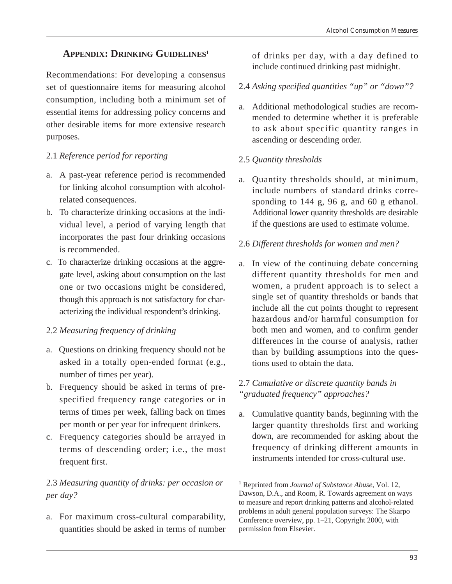# **APPENDIX: DRINKING GUIDELINES1**

Recommendations: For developing a consensus set of questionnaire items for measuring alcohol consumption, including both a minimum set of essential items for addressing policy concerns and other desirable items for more extensive research purposes.

### 2.1 *Reference period for reporting*

- a. A past-year reference period is recommended for linking alcohol consumption with alcoholrelated consequences.
- b. To characterize drinking occasions at the individual level, a period of varying length that incorporates the past four drinking occasions is recommended.
- c. To characterize drinking occasions at the aggregate level, asking about consumption on the last one or two occasions might be considered, though this approach is not satisfactory for characterizing the individual respondent's drinking.

## 2.2 *Measuring frequency of drinking*

- a. Questions on drinking frequency should not be asked in a totally open-ended format (e.g., number of times per year).
- b. Frequency should be asked in terms of prespecified frequency range categories or in terms of times per week, falling back on times per month or per year for infrequent drinkers.
- c. Frequency categories should be arrayed in terms of descending order; i.e., the most frequent first.

# 2.3 *Measuring quantity of drinks: per occasion or per day?*

a. For maximum cross-cultural comparability, quantities should be asked in terms of number of drinks per day, with a day defined to include continued drinking past midnight.

## 2.4 *Asking specified quantities "up" or "down"?*

a. Additional methodological studies are recommended to determine whether it is preferable to ask about specific quantity ranges in ascending or descending order.

## 2.5 *Quantity thresholds*

a. Quantity thresholds should, at minimum, include numbers of standard drinks corresponding to 144 g, 96 g, and 60 g ethanol. Additional lower quantity thresholds are desirable if the questions are used to estimate volume.

### 2.6 *Different thresholds for women and men?*

a. In view of the continuing debate concerning different quantity thresholds for men and women, a prudent approach is to select a single set of quantity thresholds or bands that include all the cut points thought to represent hazardous and/or harmful consumption for both men and women, and to confirm gender differences in the course of analysis, rather than by building assumptions into the questions used to obtain the data.

#### 2.7 *Cumulative or discrete quantity bands in "graduated frequency" approaches?*

a. Cumulative quantity bands, beginning with the larger quantity thresholds first and working down, are recommended for asking about the frequency of drinking different amounts in instruments intended for cross-cultural use.

1 Reprinted from *Journal of Substance Abuse,* Vol. 12, Dawson, D.A., and Room, R. Towards agreement on ways to measure and report drinking patterns and alcohol-related problems in adult general population surveys: The Skarpo Conference overview, pp. 1–21, Copyright 2000, with permission from Elsevier.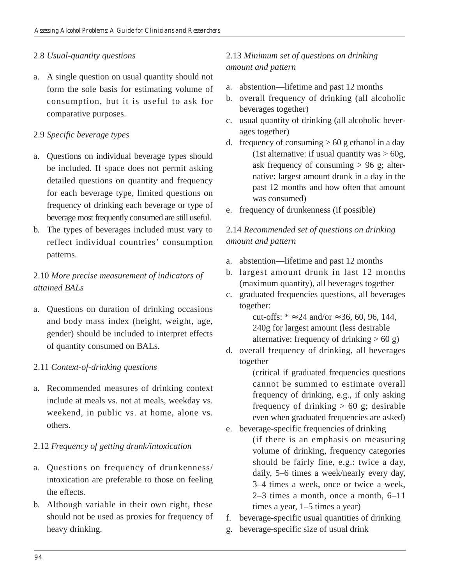#### 2.8 *Usual-quantity questions*

a. A single question on usual quantity should not form the sole basis for estimating volume of consumption, but it is useful to ask for comparative purposes.

#### 2.9 *Specific beverage types*

- a. Questions on individual beverage types should be included. If space does not permit asking detailed questions on quantity and frequency for each beverage type, limited questions on frequency of drinking each beverage or type of beverage most frequently consumed are still useful.
- b. The types of beverages included must vary to reflect individual countries' consumption patterns.

# 2.10 *More precise measurement of indicators of attained BALs*

a. Questions on duration of drinking occasions and body mass index (height, weight, age, gender) should be included to interpret effects of quantity consumed on BALs.

#### 2.11 *Context-of-drinking questions*

a. Recommended measures of drinking context include at meals vs. not at meals, weekday vs. weekend, in public vs. at home, alone vs. others.

#### 2.12 *Frequency of getting drunk/intoxication*

- a. Questions on frequency of drunkenness/ intoxication are preferable to those on feeling the effects.
- b. Although variable in their own right, these should not be used as proxies for frequency of heavy drinking.

## 2.13 *Minimum set of questions on drinking amount and pattern*

- a. abstention—lifetime and past 12 months
- b. overall frequency of drinking (all alcoholic beverages together)
- c. usual quantity of drinking (all alcoholic beverages together)
- d. frequency of consuming  $> 60$  g ethanol in a day (1st alternative: if usual quantity was  $> 60g$ , ask frequency of consuming > 96 g; alternative: largest amount drunk in a day in the past 12 months and how often that amount was consumed)
- e. frequency of drunkenness (if possible)

## 2.14 *Recommended set of questions on drinking amount and pattern*

- a. abstention—lifetime and past 12 months
- b. largest amount drunk in last 12 months (maximum quantity), all beverages together
- c. graduated frequencies questions, all beverages together:

cut-offs:  $* \approx 24$  and/or  $\approx 36, 60, 96, 144$ , 240g for largest amount (less desirable alternative: frequency of drinking  $> 60$  g)

d. overall frequency of drinking, all beverages together

(critical if graduated frequencies questions cannot be summed to estimate overall frequency of drinking, e.g., if only asking frequency of drinking  $> 60$  g; desirable even when graduated frequencies are asked) e. beverage-specific frequencies of drinking

- (if there is an emphasis on measuring volume of drinking, frequency categories should be fairly fine, e.g.: twice a day, daily, 5–6 times a week/nearly every day, 3–4 times a week, once or twice a week, 2–3 times a month, once a month, 6–11 times a year, 1–5 times a year)
- f. beverage-specific usual quantities of drinking
- g. beverage-specific size of usual drink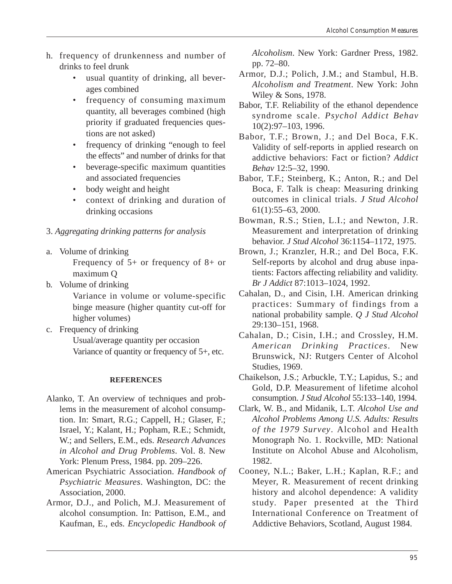- h. frequency of drunkenness and number of drinks to feel drunk
	- usual quantity of drinking, all beverages combined
	- frequency of consuming maximum quantity, all beverages combined (high priority if graduated frequencies questions are not asked)
	- frequency of drinking "enough to feel the effects" and number of drinks for that
	- beverage-specific maximum quantities and associated frequencies
	- body weight and height
	- • context of drinking and duration of drinking occasions

# 3. *Aggregating drinking patterns for analysis*

a. Volume of drinking

Frequency of 5+ or frequency of 8+ or maximum Q

b. Volume of drinking

Variance in volume or volume-specific binge measure (higher quantity cut-off for higher volumes)

c. Frequency of drinking Usual/average quantity per occasion Variance of quantity or frequency of 5+, etc.

#### **REFERENCES**

- Alanko, T. An overview of techniques and problems in the measurement of alcohol consumption. In: Smart, R.G.; Cappell, H.; Glaser, F.; Israel, Y.; Kalant, H.; Popham, R.E.; Schmidt, W.; and Sellers, E.M., eds. *Research Advances in Alcohol and Drug Problems*. Vol. 8. New York: Plenum Press, 1984. pp. 209–226.
- American Psychiatric Association. *Handbook of Psychiatric Measures*. Washington, DC: the Association, 2000.
- Armor, D.J., and Polich, M.J. Measurement of alcohol consumption. In: Pattison, E.M., and Kaufman, E., eds. *Encyclopedic Handbook of*

*Alcoholism*. New York: Gardner Press, 1982. pp. 72–80.

- Armor, D.J.; Polich, J.M.; and Stambul, H.B. *Alcoholism and Treatment*. New York: John Wiley & Sons, 1978.
- Babor, T.F. Reliability of the ethanol dependence syndrome scale. *Psychol Addict Behav*  10(2):97–103, 1996.
- Babor, T.F.; Brown, J.; and Del Boca, F.K. Validity of self-reports in applied research on addictive behaviors: Fact or fiction? *Addict Behav* 12:5–32, 1990.
- Babor, T.F.; Steinberg, K.; Anton, R.; and Del Boca, F. Talk is cheap: Measuring drinking outcomes in clinical trials. *J Stud Alcohol*  61(1):55–63, 2000.
- Bowman, R.S.; Stien, L.I.; and Newton, J.R. Measurement and interpretation of drinking behavior. *J Stud Alcohol* 36:1154–1172, 1975.
- Brown, J.; Kranzler, H.R.; and Del Boca, F.K. Self-reports by alcohol and drug abuse inpatients: Factors affecting reliability and validity. *Br J Addict* 87:1013–1024, 1992.
- Cahalan, D., and Cisin, I.H. American drinking practices: Summary of findings from a national probability sample. *Q J Stud Alcohol*  29:130–151, 1968.
- Cahalan, D.; Cisin, I.H.; and Crossley, H.M. *American Drinking Practices*. New Brunswick, NJ: Rutgers Center of Alcohol Studies, 1969.
- Chaikelson, J.S.; Arbuckle, T.Y.; Lapidus, S.; and Gold, D.P. Measurement of lifetime alcohol consumption. *J Stud Alcohol* 55:133–140, 1994.
- Clark, W. B., and Midanik, L.T. *Alcohol Use and Alcohol Problems Among U.S. Adults: Results of the 1979 Survey*. Alcohol and Health Monograph No. 1. Rockville, MD: National Institute on Alcohol Abuse and Alcoholism, 1982.
- Cooney, N.L.; Baker, L.H.; Kaplan, R.F.; and Meyer, R. Measurement of recent drinking history and alcohol dependence: A validity study. Paper presented at the Third International Conference on Treatment of Addictive Behaviors, Scotland, August 1984.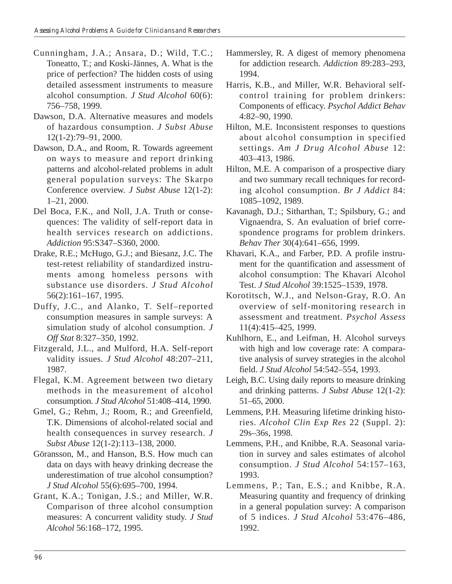- Cunningham, J.A.; Ansara, D.; Wild, T.C.; Toneatto, T.; and Koski-Jännes, A. What is the price of perfection? The hidden costs of using detailed assessment instruments to measure alcohol consumption. *J Stud Alcohol* 60(6): 756–758, 1999.
- Dawson, D.A. Alternative measures and models of hazardous consumption. *J Subst Abuse*  12(1-2):79–91, 2000.
- Dawson, D.A., and Room, R. Towards agreement on ways to measure and report drinking patterns and alcohol-related problems in adult general population surveys: The Skarpo Conference overview. *J Subst Abuse* 12(1-2): 1–21, 2000.
- Del Boca, F.K., and Noll, J.A. Truth or consequences: The validity of self-report data in health services research on addictions. *Addiction* 95:S347–S360, 2000.
- Drake, R.E.; McHugo, G.J.; and Biesanz, J.C. The test-retest reliability of standardized instruments among homeless persons with substance use disorders. *J Stud Alcohol*  56(2):161–167, 1995.
- Duffy, J.C., and Alanko, T. Self–reported consumption measures in sample surveys: A simulation study of alcohol consumption. *J Off Stat* 8:327–350, 1992.
- Fitzgerald, J.L., and Mulford, H.A. Self-report validity issues. *J Stud Alcohol* 48:207–211, 1987.
- Flegal, K.M. Agreement between two dietary methods in the measurement of alcohol consumption. *J Stud Alcohol* 51:408–414, 1990.
- Gmel, G.; Rehm, J.; Room, R.; and Greenfield, T.K. Dimensions of alcohol-related social and health consequences in survey research. *J Subst Abuse* 12(1-2):113–138, 2000.
- Göransson, M., and Hanson, B.S. How much can data on days with heavy drinking decrease the underestimation of true alcohol consumption? *J Stud Alcohol* 55(6):695–700, 1994.
- Grant, K.A.; Tonigan, J.S.; and Miller, W.R. Comparison of three alcohol consumption measures: A concurrent validity study. *J Stud Alcohol* 56:168–172, 1995.
- Hammersley, R. A digest of memory phenomena for addiction research. *Addiction* 89:283–293, 1994.
- Harris, K.B., and Miller, W.R. Behavioral selfcontrol training for problem drinkers: Components of efficacy. *Psychol Addict Behav*  4:82–90, 1990.
- Hilton, M.E. Inconsistent responses to questions about alcohol consumption in specified settings. *Am J Drug Alcohol Abuse* 12: 403–413, 1986.
- Hilton, M.E. A comparison of a prospective diary and two summary recall techniques for recording alcohol consumption. *Br J Addict* 84: 1085–1092, 1989.
- Kavanagh, D.J.; Sitharthan, T.; Spilsbury, G.; and Vignaendra, S. An evaluation of brief correspondence programs for problem drinkers. *Behav Ther* 30(4):641–656, 1999.
- Khavari, K.A., and Farber, P.D. A profile instrument for the quantification and assessment of alcohol consumption: The Khavari Alcohol Test. *J Stud Alcohol* 39:1525–1539, 1978.
- Korotitsch, W.J., and Nelson-Gray, R.O. An overview of self-monitoring research in assessment and treatment. *Psychol Assess*  11(4):415–425, 1999.
- Kuhlhorn, E., and Leifman, H. Alcohol surveys with high and low coverage rate: A comparative analysis of survey strategies in the alcohol field. *J Stud Alcohol* 54:542–554, 1993.
- Leigh, B.C. Using daily reports to measure drinking and drinking patterns. *J Subst Abuse* 12(1-2): 51–65, 2000.
- Lemmens, P.H. Measuring lifetime drinking histories. *Alcohol Clin Exp Res* 22 (Suppl. 2): 29s–36s, 1998.
- Lemmens, P.H., and Knibbe, R.A. Seasonal variation in survey and sales estimates of alcohol consumption. *J Stud Alcohol* 54:157–163, 1993.
- Lemmens, P.; Tan, E.S.; and Knibbe, R.A. Measuring quantity and frequency of drinking in a general population survey: A comparison of 5 indices. *J Stud Alcohol* 53:476–486, 1992.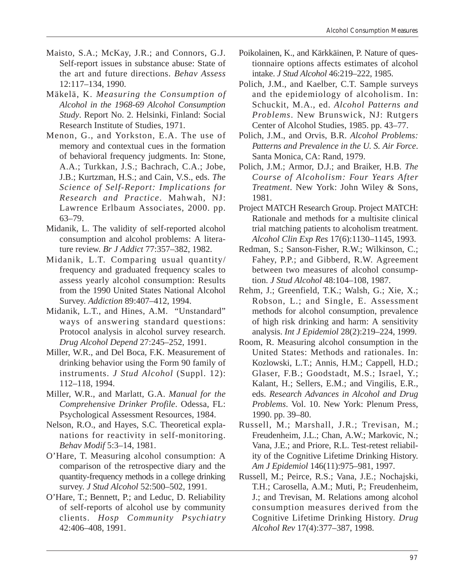- Maisto, S.A.; McKay, J.R.; and Connors, G.J. Self-report issues in substance abuse: State of the art and future directions. *Behav Assess*  12:117–134, 1990.
- Mäkelä, K. *Measuring the Consumption of Alcohol in the 1968-69 Alcohol Consumption Study*. Report No. 2. Helsinki, Finland: Social Research Institute of Studies, 1971.
- Menon, G., and Yorkston, E.A. The use of memory and contextual cues in the formation of behavioral frequency judgments. In: Stone, A.A.; Turkkan, J.S.; Bachrach, C.A.; Jobe, J.B.; Kurtzman, H.S.; and Cain, V.S., eds. *The Science of Self-Report: Implications for Research and Practice*. Mahwah, NJ: Lawrence Erlbaum Associates, 2000. pp. 63–79.
- Midanik, L. The validity of self-reported alcohol consumption and alcohol problems: A literature review. *Br J Addict* 77:357–382, 1982.
- Midanik, L.T. Comparing usual quantity/ frequency and graduated frequency scales to assess yearly alcohol consumption: Results from the 1990 United States National Alcohol Survey. *Addiction* 89:407–412, 1994.
- Midanik, L.T., and Hines, A.M. "Unstandard" ways of answering standard questions: Protocol analysis in alcohol survey research. *Drug Alcohol Depend* 27:245–252, 1991.
- Miller, W.R., and Del Boca, F.K. Measurement of drinking behavior using the Form 90 family of instruments. *J Stud Alcohol* (Suppl. 12): 112–118, 1994.
- Miller, W.R., and Marlatt, G.A. *Manual for the Comprehensive Drinker Profile*. Odessa, FL: Psychological Assessment Resources, 1984.
- Nelson, R.O., and Hayes, S.C. Theoretical explanations for reactivity in self-monitoring. *Behav Modif* 5:3–14, 1981.
- O'Hare, T. Measuring alcohol consumption: A comparison of the retrospective diary and the quantity-frequency methods in a college drinking survey. *J Stud Alcohol* 52:500–502, 1991.
- O'Hare, T.; Bennett, P.; and Leduc, D. Reliability of self-reports of alcohol use by community clients. *Hosp Community Psychiatry*  42:406–408, 1991.
- Poikolainen, K., and Kärkkäinen, P. Nature of questionnaire options affects estimates of alcohol intake. *J Stud Alcohol* 46:219–222, 1985.
- Polich, J.M., and Kaelber, C.T. Sample surveys and the epidemiology of alcoholism. In: Schuckit, M.A., ed. *Alcohol Patterns and Problems*. New Brunswick, NJ: Rutgers Center of Alcohol Studies, 1985. pp. 43–77.
- Polich, J.M., and Orvis, B.R. *Alcohol Problems: Patterns and Prevalence in the U. S. Air Force*. Santa Monica, CA: Rand, 1979.
- Polich, J.M.; Armor, D.J.; and Braiker, H.B. *The Course of Alcoholism: Four Years After Treatment*. New York: John Wiley & Sons, 1981.
- Project MATCH Research Group. Project MATCH: Rationale and methods for a multisite clinical trial matching patients to alcoholism treatment. *Alcohol Clin Exp Res* 17(6):1130–1145, 1993.
- Redman, S.; Sanson-Fisher, R.W.; Wilkinson, C.; Fahey, P.P.; and Gibberd, R.W. Agreement between two measures of alcohol consumption. *J Stud Alcohol* 48:104–108, 1987.
- Rehm, J.; Greenfield, T.K.; Walsh, G.; Xie, X.; Robson, L.; and Single, E. Assessment methods for alcohol consumption, prevalence of high risk drinking and harm: A sensitivity analysis. *Int J Epidemiol* 28(2):219–224, 1999.
- Room, R. Measuring alcohol consumption in the United States: Methods and rationales. In: Kozlowski, L.T.; Annis, H.M.; Cappell, H.D.; Glaser, F.B.; Goodstadt, M.S.; Israel, Y.; Kalant, H.; Sellers, E.M.; and Vingilis, E.R., eds. *Research Advances in Alcohol and Drug Problems*. Vol. 10. New York: Plenum Press, 1990. pp. 39–80.
- Russell, M.; Marshall, J.R.; Trevisan, M.; Freudenheim, J.L.; Chan, A.W.; Markovic, N.; Vana, J.E.; and Priore, R.L. Test-retest reliability of the Cognitive Lifetime Drinking History. *Am J Epidemiol* 146(11):975–981, 1997.
- Russell, M.; Peirce, R.S.; Vana, J.E.; Nochajski, T.H.; Carosella, A.M.; Muti, P.; Freudenheim, J.; and Trevisan, M. Relations among alcohol consumption measures derived from the Cognitive Lifetime Drinking History. *Drug Alcohol Rev* 17(4):377–387, 1998.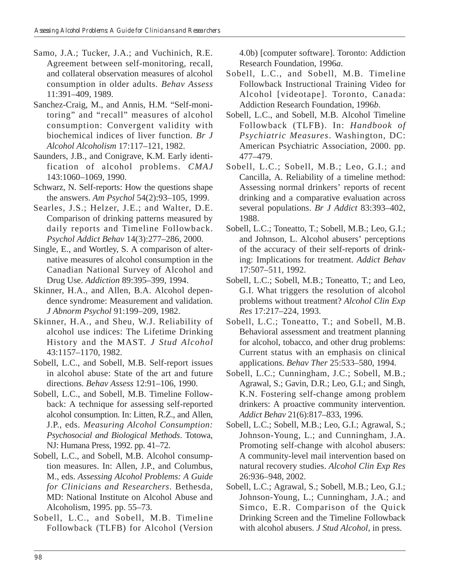- Samo, J.A.; Tucker, J.A.; and Vuchinich, R.E. Agreement between self-monitoring, recall, and collateral observation measures of alcohol consumption in older adults. *Behav Assess*  11:391–409, 1989.
- Sanchez-Craig, M., and Annis, H.M. "Self-monitoring" and "recall" measures of alcohol consumption: Convergent validity with biochemical indices of liver function. *Br J Alcohol Alcoholism* 17:117–121, 1982.
- Saunders, J.B., and Conigrave, K.M. Early identification of alcohol problems. *CMAJ*  143:1060–1069, 1990.
- Schwarz, N. Self-reports: How the questions shape the answers. *Am Psychol* 54(2):93–105, 1999.
- Searles, J.S.; Helzer, J.E.; and Walter, D.E. Comparison of drinking patterns measured by daily reports and Timeline Followback. *Psychol Addict Behav* 14(3):277–286, 2000.
- Single, E., and Wortley, S. A comparison of alternative measures of alcohol consumption in the Canadian National Survey of Alcohol and Drug Use. *Addiction* 89:395–399, 1994.
- Skinner, H.A., and Allen, B.A. Alcohol dependence syndrome: Measurement and validation. *J Abnorm Psychol* 91:199–209, 1982.
- Skinner, H.A., and Sheu, W.J. Reliability of alcohol use indices: The Lifetime Drinking History and the MAST. *J Stud Alcohol*  43:1157–1170, 1982.
- Sobell, L.C., and Sobell, M.B. Self-report issues in alcohol abuse: State of the art and future directions. *Behav Assess* 12:91–106, 1990.
- Sobell, L.C., and Sobell, M.B. Timeline Followback: A technique for assessing self-reported alcohol consumption. In: Litten, R.Z., and Allen, J.P., eds. *Measuring Alcohol Consumption: Psychosocial and Biological Methods*. Totowa, NJ: Humana Press, 1992. pp. 41–72.
- Sobell, L.C., and Sobell, M.B. Alcohol consumption measures. In: Allen, J.P., and Columbus, M., eds. *Assessing Alcohol Problems: A Guide for Clinicians and Researchers*. Bethesda, MD: National Institute on Alcohol Abuse and Alcoholism, 1995. pp. 55–73.
- Sobell, L.C., and Sobell, M.B. Timeline Followback (TLFB) for Alcohol (Version

4.0b) [computer software]. Toronto: Addiction Research Foundation, 1996*a*.

- Sobell, L.C., and Sobell, M.B. Timeline Followback Instructional Training Video for Alcohol [videotape]. Toronto, Canada: Addiction Research Foundation, 1996*b*.
- Sobell, L.C., and Sobell, M.B. Alcohol Timeline Followback (TLFB). In: *Handbook of Psychiatric Measures*. Washington, DC: American Psychiatric Association, 2000. pp. 477–479.
- Sobell, L.C.; Sobell, M.B.; Leo, G.I.; and Cancilla, A. Reliability of a timeline method: Assessing normal drinkers' reports of recent drinking and a comparative evaluation across several populations. *Br J Addict* 83:393–402, 1988.
- Sobell, L.C.; Toneatto, T.; Sobell, M.B.; Leo, G.I.; and Johnson, L. Alcohol abusers' perceptions of the accuracy of their self-reports of drinking: Implications for treatment. *Addict Behav*  17:507–511, 1992.
- Sobell, L.C.; Sobell, M.B.; Toneatto, T.; and Leo, G.I. What triggers the resolution of alcohol problems without treatment? *Alcohol Clin Exp Res* 17:217–224, 1993.
- Sobell, L.C.; Toneatto, T.; and Sobell, M.B. Behavioral assessment and treatment planning for alcohol, tobacco, and other drug problems: Current status with an emphasis on clinical applications. *Behav Ther* 25:533–580, 1994.
- Sobell, L.C.; Cunningham, J.C.; Sobell, M.B.; Agrawal, S.; Gavin, D.R.; Leo, G.I.; and Singh, K.N. Fostering self-change among problem drinkers: A proactive community intervention. *Addict Behav* 21(6):817–833, 1996.
- Sobell, L.C.; Sobell, M.B.; Leo, G.I.; Agrawal, S.; Johnson-Young, L.; and Cunningham, J.A. Promoting self-change with alcohol abusers: A community-level mail intervention based on natural recovery studies. *Alcohol Clin Exp Res*  26:936–948, 2002.
- Sobell, L.C.; Agrawal, S.; Sobell, M.B.; Leo, G.I.; Johnson-Young, L.; Cunningham, J.A.; and Simco, E.R. Comparison of the Quick Drinking Screen and the Timeline Followback with alcohol abusers. *J Stud Alcohol*, in press.